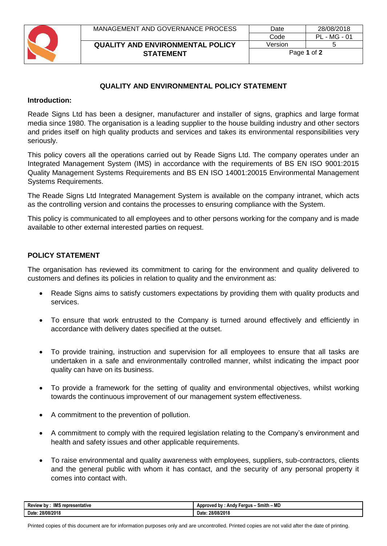

## **QUALITY AND ENVIRONMENTAL POLICY STATEMENT**

## **Introduction:**

Reade Signs Ltd has been a designer, manufacturer and installer of signs, graphics and large format media since 1980. The organisation is a leading supplier to the house building industry and other sectors and prides itself on high quality products and services and takes its environmental responsibilities very seriously.

This policy covers all the operations carried out by Reade Signs Ltd. The company operates under an Integrated Management System (IMS) in accordance with the requirements of BS EN ISO 9001:2015 Quality Management Systems Requirements and BS EN ISO 14001:20015 Environmental Management Systems Requirements.

The Reade Signs Ltd Integrated Management System is available on the company intranet, which acts as the controlling version and contains the processes to ensuring compliance with the System.

This policy is communicated to all employees and to other persons working for the company and is made available to other external interested parties on request.

## **POLICY STATEMENT**

The organisation has reviewed its commitment to caring for the environment and quality delivered to customers and defines its policies in relation to quality and the environment as:

- Reade Signs aims to satisfy customers expectations by providing them with quality products and services.
- To ensure that work entrusted to the Company is turned around effectively and efficiently in accordance with delivery dates specified at the outset.
- To provide training, instruction and supervision for all employees to ensure that all tasks are undertaken in a safe and environmentally controlled manner, whilst indicating the impact poor quality can have on its business.
- To provide a framework for the setting of quality and environmental objectives, whilst working towards the continuous improvement of our management system effectiveness.
- A commitment to the prevention of pollution.
- A commitment to comply with the required legislation relating to the Company's environment and health and safety issues and other applicable requirements.
- To raise environmental and quality awareness with employees, suppliers, sub-contractors, clients and the general public with whom it has contact, and the security of any personal property it comes into contact with.

| <b>Review by</b><br>representative<br>IMS | - MD<br>.<br>Smith -<br>Andy Fergus<br>. bv<br>Approved |
|-------------------------------------------|---------------------------------------------------------|
| 28/08/2018                                | 28/08/2018                                              |
| Date.                                     | Date:                                                   |

Printed copies of this document are for information purposes only and are uncontrolled. Printed copies are not valid after the date of printing.